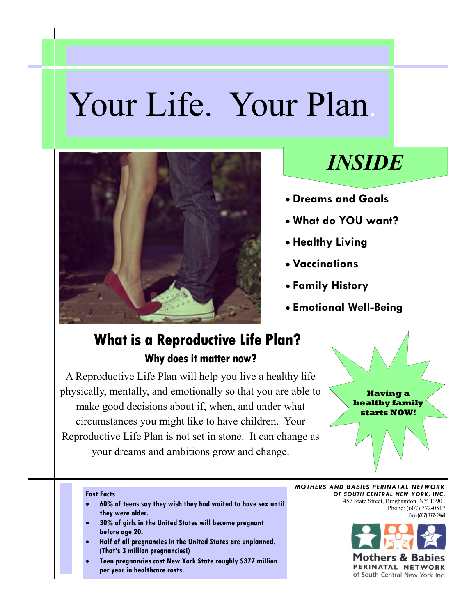# Your Life. Your Plan.



# *INSIDE*

- **Dreams and Goals**
- **What do YOU want?**
- **Healthy Living**
- **Vaccinations**
- **Family History**
- **Emotional Well-Being**

## **What is a Reproductive Life Plan? Why does it matter now?**

A Reproductive Life Plan will help you live a healthy life physically, mentally, and emotionally so that you are able to make good decisions about if, when, and under what circumstances you might like to have children. Your Reproductive Life Plan is not set in stone. It can change as your dreams and ambitions grow and change.



#### **Fast Facts**

- **60% of teens say they wish they had waited to have sex until they were older.**
- **30% of girls in the United States will become pregnant before age 20.**
- **Half of all pregnancies in the United States are unplanned. (That's 3 million pregnancies!)**
- **Teen pregnancies cost New York State roughly \$377 million per year in healthcare costs.**

*MOTHERS AND BABIES PERINATAL NETWORK OF SOUTH CENTRAL NEW YORK, INC.* 457 State Street, Binghamton, NY 13901 Phone: (607) 772-0517 Fax: (607) 772-0468



1others & Bal PERINATAL NETWORK of South Central New York Inc.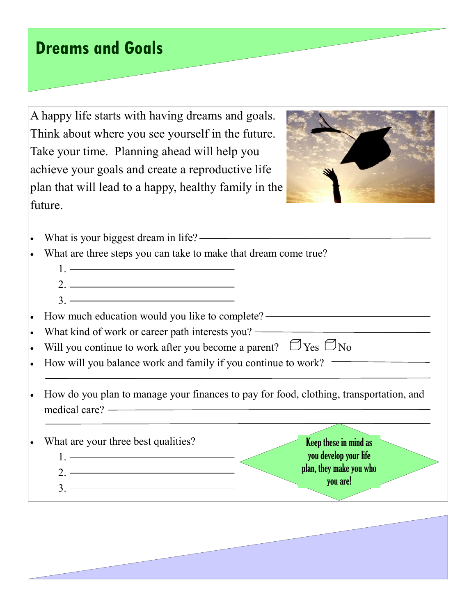# **Dreams and Goals**

A happy life starts with having dreams and goals. Think about where you see yourself in the future. Take your time. Planning ahead will help you achieve your goals and create a reproductive life plan that will lead to a happy, healthy family in the future.



- What is your biggest dream in life? ————————————————————
- What are three steps you can take to make that dream come true?
	- 1<sup>.</sup> ———————————————————— 2.
	- $\frac{3}{2}$
- How much education would you like to complete?
- What kind of work or career path interests you? ————————————————————
- Will you continue to work after you become a parent?  $\Box$  Yes  $\Box$  No
- How will you balance work and family if you continue to work?
- How do you plan to manage your finances to pay for food, clothing, transportation, and medical care?

What are your three best qualities? 1.  $2$   $\overline{\phantom{a}}$  $3 \overline{\phantom{a}}$ Keep these in mind as you develop your life plan, they make you who you are!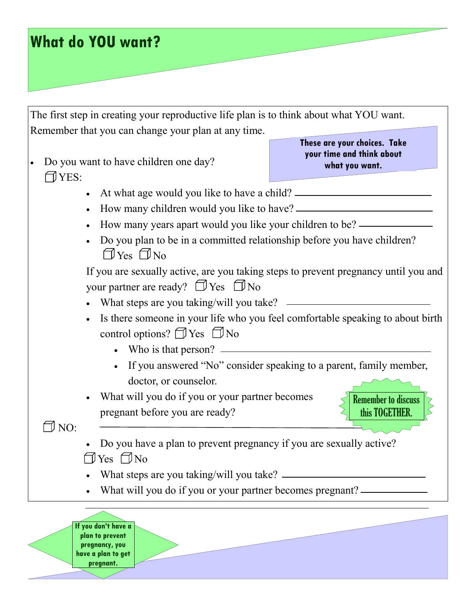|                                                          | The first step in creating your reproductive life plan is to think about what YOU want.                                                        |                                                                             |
|----------------------------------------------------------|------------------------------------------------------------------------------------------------------------------------------------------------|-----------------------------------------------------------------------------|
|                                                          | Remember that you can change your plan at any time.                                                                                            |                                                                             |
| $\Box$ YES:                                              | Do you want to have children one day?                                                                                                          | These are your choices. Take<br>your time and think about<br>what you want. |
|                                                          | • At what age would you like to have a child? __________________________________                                                               |                                                                             |
|                                                          |                                                                                                                                                |                                                                             |
| How many years apart would you like your children to be? |                                                                                                                                                |                                                                             |
|                                                          | Do you plan to be in a committed relationship before you have children?<br>$\Box$ Yes $\Box$ No                                                |                                                                             |
|                                                          | If you are sexually active, are you taking steps to prevent pregnancy until you and<br>your partner are ready? $\Box$ Yes $\Box$ No            |                                                                             |
|                                                          |                                                                                                                                                |                                                                             |
|                                                          | Is there someone in your life who you feel comfortable speaking to about birth<br>control options? $\Box$ Yes $\Box$ No<br>Who is that person? |                                                                             |
|                                                          | doctor, or counselor.                                                                                                                          | If you answered "No" consider speaking to a parent, family member,          |
|                                                          | What will you do if you or your partner becomes<br>pregnant before you are ready?                                                              | <b>Remember to discuss</b><br>this TOGETHER.                                |
| $\exists$ NO:                                            | Do you have a plan to prevent pregnancy if you are sexually active?<br>Yes $\Box$ No                                                           |                                                                             |
|                                                          | What steps are you taking/will you take? $\overline{\phantom{a}}$                                                                              |                                                                             |
|                                                          | What will you do if you or your partner becomes pregnant? ——                                                                                   |                                                                             |
|                                                          | If you don't have a<br>plan to prevent<br>pregnancy, you<br>have a plan to get<br>pregnant.                                                    |                                                                             |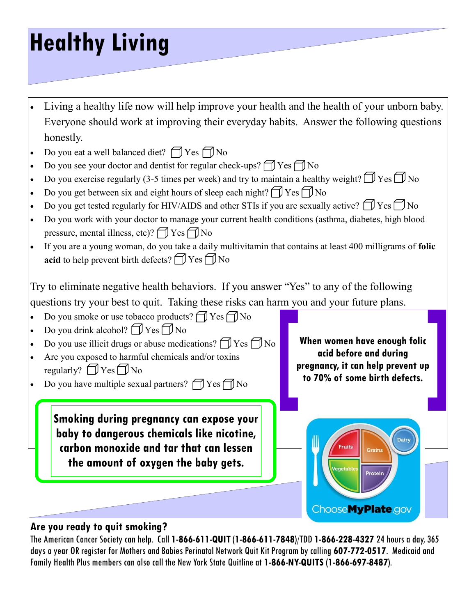# **Healthy Living**

- Living a healthy life now will help improve your health and the health of your unborn baby. Everyone should work at improving their everyday habits. Answer the following questions honestly.
- Do you eat a well balanced diet?  $\Box$  Yes  $\Box$  No
- Do you see your doctor and dentist for regular check-ups?  $\Box$  Yes  $\Box$  No
- Do you exercise regularly (3-5 times per week) and try to maintain a healthy weight?  $\Box$  Yes  $\Box$  No
- Do you get between six and eight hours of sleep each night?  $\bigcap$  Yes  $\bigcap$  No
- Do you get tested regularly for HIV/AIDS and other STIs if you are sexually active?  $\Box$  Yes  $\Box$  No
- Do you work with your doctor to manage your current health conditions (asthma, diabetes, high blood pressure, mental illness, etc)?  $\bigcap$  Yes  $\bigcap$  No
- If you are a young woman, do you take a daily multivitamin that contains at least 400 milligrams of **folic acid** to help prevent birth defects?  $\bigcap$  Yes  $\bigcap$  No

Try to eliminate negative health behaviors. If you answer "Yes" to any of the following questions try your best to quit. Taking these risks can harm you and your future plans.

- Do you smoke or use tobacco products?  $\Box$  Yes  $\Box$  No
- Do you drink alcohol?  $\Box$  Yes  $\Box$  No
- Do you use illicit drugs or abuse medications?  $\Box$  Yes  $\Box$  No
- Are you exposed to harmful chemicals and/or toxins regularly?  $\Box$  Yes  $\Box$  No
- Do you have multiple sexual partners?  $\Box$  Yes  $\Box$  No

**Smoking during pregnancy can expose your baby to dangerous chemicals like nicotine, carbon monoxide and tar that can lessen the amount of oxygen the baby gets.**

**When women have enough folic acid before and during pregnancy, it can help prevent up to 70% of some birth defects.**



## **Are you ready to quit smoking?**

The American Cancer Society can help. Call **1-866-611-QUIT** (**1-866-611-7848**)/TDD **1-866-228-4327** 24 hours a day, 365 days a year OR register for Mothers and Babies Perinatal Network Quit Kit Program by calling **607-772-0517**. Medicaid and Family Health Plus members can also call the New York State Quitline at **1-866-NY-QUITS** (**1-866-697-8487**).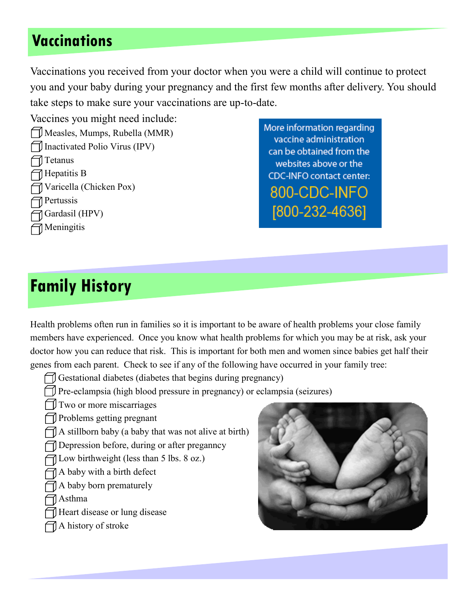# **Vaccinations**

Vaccinations you received from your doctor when you were a child will continue to protect you and your baby during your pregnancy and the first few months after delivery. You should take steps to make sure your vaccinations are up-to-date.

Vaccines you might need include:

Measles, Mumps, Rubella (MMR) Inactivated Polio Virus (IPV) Tetanus  $\Box$  Hepatitis B Varicella (Chicken Pox)  $\bigcap$  Pertussis Gardasil (HPV)  $\bigcap$  Meningitis

More information regarding vaccine administration can be obtained from the websites above or the **CDC-INFO contact center:** 800-CDC-INFO [800-232-4636]

# **Family History**

Health problems often run in families so it is important to be aware of health problems your close family members have experienced. Once you know what health problems for which you may be at risk, ask your doctor how you can reduce that risk. This is important for both men and women since babies get half their genes from each parent. Check to see if any of the following have occurred in your family tree:

 $\Box$  Gestational diabetes (diabetes that begins during pregnancy)

Pre-eclampsia (high blood pressure in pregnancy) or eclampsia (seizures)

Two or more miscarriages

**Problems getting pregnant** 

 $\Box$  A stillborn baby (a baby that was not alive at birth)

Depression before, during or after preganncy

 $\Box$  Low birthweight (less than 5 lbs. 8 oz.)

 $\bigcap$  A baby with a birth defect

 $\bigcap$  A baby born prematurely

Asthma

- Heart disease or lung disease
- $\bigcap$  A history of stroke

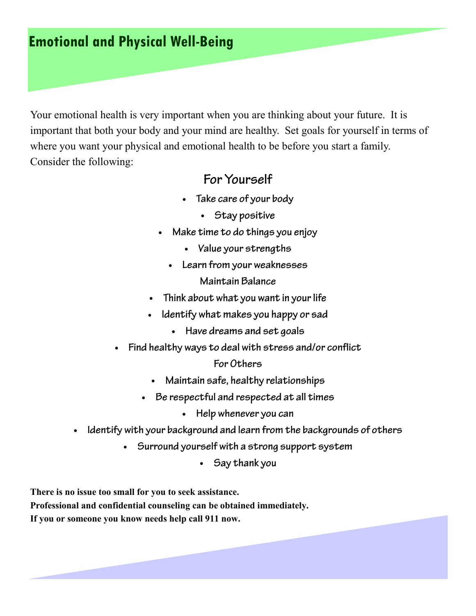## **Emotional and Physical Well-Being**

Your emotional health is very important when you are thinking about your future. It is important that both your body and your mind are healthy. Set goals for yourself in terms of where you want your physical and emotional health to be before you start a family. Consider the following:

## For Yourself

- Take care of your body
	- Stay positive
- Make time to do things you enjoy  $\bullet$ 
	- Value your strengths
	- Learn from your weaknesses Maintain Balance
- Think about what you want in your life  $\bullet$
- Identify what makes you happy or sad
	- Have dreams and set goals
- Find healthy ways to deal with stress and/or conflict  $\bullet$

### For Others

- Maintain safe, healthy relationships
- Be respectful and respected at all times
	- Help whenever you can  $\bullet$
- Identify with your background and learn from the backgrounds of others  $\bullet$ 
	- Surround yourself with a strong support system
		- Say thank you

**There is no issue too small for you to seek assistance. Professional and confidential counseling can be obtained immediately. If you or someone you know needs help call 911 now.**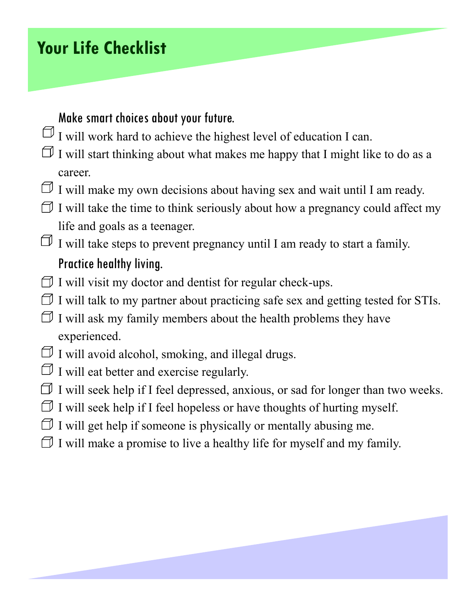# **Your Life Checklist**

## Make smart choices about your future.

- $\Box$  I will work hard to achieve the highest level of education I can.
- $\Box$  I will start thinking about what makes me happy that I might like to do as a career.
- $\Box$  I will make my own decisions about having sex and wait until I am ready.
- $\Box$  I will take the time to think seriously about how a pregnancy could affect my life and goals as a teenager.
- $\Box$  I will take steps to prevent pregnancy until I am ready to start a family. Practice healthy living.
- $\Box$  I will visit my doctor and dentist for regular check-ups.
- $\Box$  I will talk to my partner about practicing safe sex and getting tested for STIs.
- $\Box$  I will ask my family members about the health problems they have experienced.
- $\Box$  I will avoid alcohol, smoking, and illegal drugs.
- $\Box$  I will eat better and exercise regularly.
- $\Box$  I will seek help if I feel depressed, anxious, or sad for longer than two weeks.
- $\Box$  I will seek help if I feel hopeless or have thoughts of hurting myself.
- $\Box$  I will get help if someone is physically or mentally abusing me.
- $\Box$  I will make a promise to live a healthy life for myself and my family.